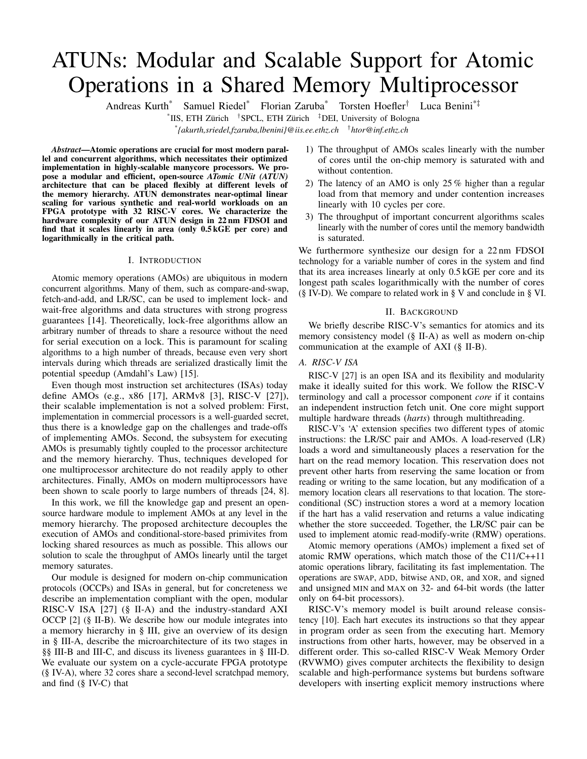# ATUNs: Modular and Scalable Support for Atomic Operations in a Shared Memory Multiprocessor

Andreas Kurth\* Samuel Riedel\* Florian Zaruba\* Torsten Hoefler† Luca Benini\*‡

*\* {akurth,sriedel,fzaruba,lbenini}@iis.ee.ethz.ch* † *htor@inf.ethz.ch*

*Abstract*—Atomic operations are crucial for most modern parallel and concurrent algorithms, which necessitates their optimized implementation in highly-scalable manycore processors. We propose a modular and efficient, open-source *ATomic UNit (ATUN)* architecture that can be placed flexibly at different levels of the memory hierarchy. ATUN demonstrates near-optimal linear scaling for various synthetic and real-world workloads on an FPGA prototype with 32 RISC-V cores. We characterize the hardware complexity of our ATUN design in 22 nm FDSOI and find that it scales linearly in area (only 0.5 kGE per core) and logarithmically in the critical path.

#### I. INTRODUCTION

Atomic memory operations (AMOs) are ubiquitous in modern concurrent algorithms. Many of them, such as compare-and-swap, fetch-and-add, and LR/SC, can be used to implement lock- and wait-free algorithms and data structures with strong progress guarantees [14]. Theoretically, lock-free algorithms allow an arbitrary number of threads to share a resource without the need for serial execution on a lock. This is paramount for scaling algorithms to a high number of threads, because even very short intervals during which threads are serialized drastically limit the potential speedup (Amdahl's Law) [15].

Even though most instruction set architectures (ISAs) today define AMOs (e.g., x86 [17], ARMv8 [3], RISC-V [27]), their scalable implementation is not a solved problem: First, implementation in commercial processors is a well-guarded secret, thus there is a knowledge gap on the challenges and trade-offs of implementing AMOs. Second, the subsystem for executing AMOs is presumably tightly coupled to the processor architecture and the memory hierarchy. Thus, techniques developed for one multiprocessor architecture do not readily apply to other architectures. Finally, AMOs on modern multiprocessors have been shown to scale poorly to large numbers of threads [24, 8].

In this work, we fill the knowledge gap and present an opensource hardware module to implement AMOs at any level in the memory hierarchy. The proposed architecture decouples the execution of AMOs and conditional-store-based primivites from locking shared resources as much as possible. This allows our solution to scale the throughput of AMOs linearly until the target memory saturates.

Our module is designed for modern on-chip communication protocols (OCCPs) and ISAs in general, but for concreteness we describe an implementation compliant with the open, modular RISC-V ISA [27] (§ II-A) and the industry-standard AXI OCCP [2] (§ II-B). We describe how our module integrates into a memory hierarchy in § III, give an overview of its design in § III-A, describe the microarchitecture of its two stages in §§ III-B and III-C, and discuss its liveness guarantees in § III-D. We evaluate our system on a cycle-accurate FPGA prototype (§ IV-A), where 32 cores share a second-level scratchpad memory, and find (§ IV-C) that

- 1) The throughput of AMOs scales linearly with the number of cores until the on-chip memory is saturated with and without contention.
- 2) The latency of an AMO is only 25 % higher than a regular load from that memory and under contention increases linearly with 10 cycles per core.
- 3) The throughput of important concurrent algorithms scales linearly with the number of cores until the memory bandwidth is saturated.

We furthermore synthesize our design for a 22 nm FDSOI technology for a variable number of cores in the system and find that its area increases linearly at only 0.5 kGE per core and its longest path scales logarithmically with the number of cores (§ IV-D). We compare to related work in § V and conclude in § VI.

## II. BACKGROUND

We briefly describe RISC-V's semantics for atomics and its memory consistency model (§ II-A) as well as modern on-chip communication at the example of AXI (§ II-B).

# *A. RISC-V ISA*

RISC-V [27] is an open ISA and its flexibility and modularity make it ideally suited for this work. We follow the RISC-V terminology and call a processor component *core* if it contains an independent instruction fetch unit. One core might support multiple hardware threads (*harts*) through multithreading.

RISC-V's 'A' extension specifies two different types of atomic instructions: the LR/SC pair and AMOs. A load-reserved (LR) loads a word and simultaneously places a reservation for the hart on the read memory location. This reservation does not prevent other harts from reserving the same location or from reading or writing to the same location, but any modification of a memory location clears all reservations to that location. The storeconditional (SC) instruction stores a word at a memory location if the hart has a valid reservation and returns a value indicating whether the store succeeded. Together, the LR/SC pair can be used to implement atomic read-modify-write (RMW) operations.

Atomic memory operations (AMOs) implement a fixed set of atomic RMW operations, which match those of the C11/C++11 atomic operations library, facilitating its fast implementation. The operations are SWAP, ADD, bitwise AND, OR, and XOR, and signed and unsigned MIN and MAX on 32- and 64-bit words (the latter only on 64-bit processors).

RISC-V's memory model is built around release consistency [10]. Each hart executes its instructions so that they appear in program order as seen from the executing hart. Memory instructions from other harts, however, may be observed in a different order. This so-called RISC-V Weak Memory Order (RVWMO) gives computer architects the flexibility to design scalable and high-performance systems but burdens software developers with inserting explicit memory instructions where

<sup>\*</sup> IIS, ETH Zürich † SPCL, ETH Zürich ‡DEI, University of Bologna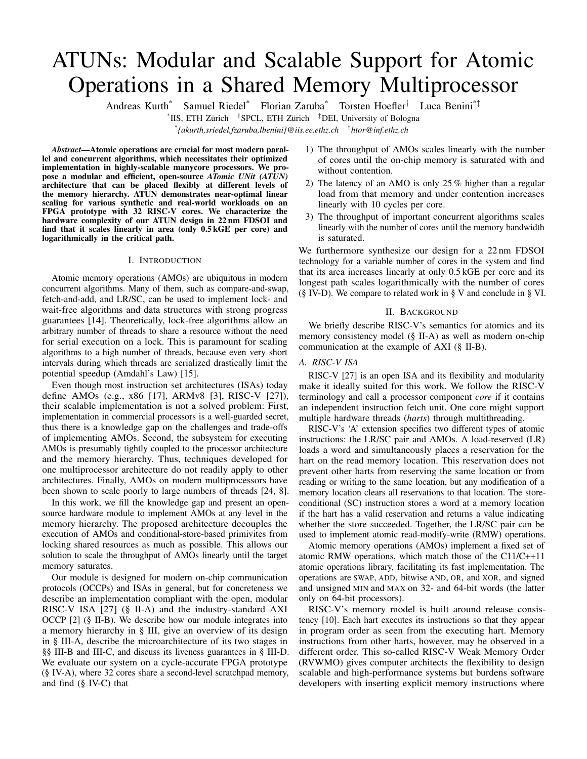required – although RVWMO and AMOs were designed to implement the C11/C++11 memory model efficiently. RISC-V optionally defines a stronger total store ordering (TSO) memory model. Our work can accommodate both RVWMO and RVTSO.

## *B. Modern On-Chip Communication and AXI*

Modern on-chip communication is centered around the premise of high-bandwidth point-to-point data transfers. To fulfill this premise despite increasing point-to-point latencies, three central traits of modern on-chip communication protocols are: *burst-based transactions*, *multiple outstanding transactions*, and *transaction reordering*. Our design targets these central traits in general, so the concepts we present potentially apply to a wide range of modern on-chip protocols. More tangibly, we adhere to the latest revision (5) of the AMBA Advanced eXtensible Interface (AXI) [2]. AXI is one of the industry-dominant OCCPs and the only OCCP with an open specification and a widespread adoption in current reallife systems designed by many different companies. Other modern major commercial OCCPs with similar properties include Intel's Ultra Path Interconnect [21], AMD's scalable data fabric [6], and IBM's Power9 on-chip interconnect [23].

AXI separates communication into two directions (read and write), into channels for commands, data, and responses, and into transfer items called 'beats'. A transaction starts with a command followed by one or multiple data beats and ends with a single response (on a write) or the last of multiple responses (on a multi-beat read). Each transaction is initiated by a master, targets an addressed slave, and can involve multiple interconnecting components.

Exclusive accesses in AXI are very close to the semantics of LR/SC in RISC-V. The basic mechanism is that a master issues an exclusive read (LR in RISC-V) to an address and some (unrestricted) time later an exclusive write (SC) to the same address. The exclusive write then succeeds if no other master has written to that address since the exclusive read and fails otherwise. Only successful exclusive writes modify the memory.

Atomic transactions, which are write transactions with an added atomic opcode, were added in AXI5. There are four types of atomic transactions: store, load, swap, and compare. An atomic swap unconditionally replaces the memory value at an address with the provided data value and returns the original value; an atomic compare replaces the value in memory only if it matches a second provided data value. Atomic loads and stores unconditionally apply one of eight operations (add, clear, exclusive or, set, and signed and unsigned minimum and maximum) on the memory and a provided value. Atomic loads return the original memory value; atomic stores return a response without data. Although specified independently, the atomic transaction operations of AXI5 are a superset of the AMOs of RISC-V: the atomic ADD, AND, OR, XOR, and signed and unsigned MAX, and MIN instructions can be mapped to atomic loads (or atomic stores if the destination register is x0) and the SWAP instruction to an atomic swap.

### III. DESIGN AND ARCHITECTURE

We describe the design and microarchitecture of our ATomic UNit (ATUN) hardware module. Fig. 1 shows how the ATUN can be placed in front of any memory that has an AXI-like OCCP interface, giving system designers many options on where in the memory hierarchy to resolve AMOs and LR/SCs.



Figure 1: Implementing AMOs with the ATUN (red horizontal bar) in a memory hierarchy based on scratchpad memories (SPMs).

#### *A. Design Overview*

Our ATUN is composed of two stages: the AMO stage, which serves the OCCP slave interface, and the LR/SC stage, which controls the master interface (left ports of Fig. 2). The AMO stage (§ III-C) resolves AMOs in its arithmetic logic unit (ALU) and uses the atomicity guarantee provided by the subsequent LR/SC stage to guarantee the single-copy atomicity of each AMO. The LR/SC stage (§ III-B) guarantees the atomicity of an LR/SC pair for any reorderable downstream memory interface.

# *B. LR/SC Stage*

The LR/SC stage guarantees the single-copy atomicity of LR/SC pairs as long as it "owns" the entire downstream memory – i.e., no transactions can reach the downstream memory without being observed by the LR/SC stage – but the downstream memory (e.g., an off-chip memory controller) is free to reorder transactions as defined by the OCCP's memory semantics.

The LR/SC stage will always only emit transactions that are non-exclusive. Downstream modules unconditionally execute all writes and have full freedom of reordering transactions (as allowed by the OCCP specification), which is essential for memory controllers and other off-chip links to achieve high bandwidth. The LR/SC stage considers these reordering options and fails an exclusive store if a contending write could be reordered before the exclusive store. A central feature of the LR/SC stage is that it does *not lock* the write channel during exclusive accesses.



Figure 2: Microarchitecture of the LR/SC stage.

The LR/SC stage, shown in Fig. 2, is composed of a reservation table and control FSMs for the OCCP channels, which interact through command queues. Read and write transactions are fully independent. The algorithm to process them is essentially as follows: Every read request is forwarded in the same clock cycle and, if it is exclusive and no write to the same address is in-flight downstream, places a reservation. If both a read and a write request to the same address region are at the upstream interface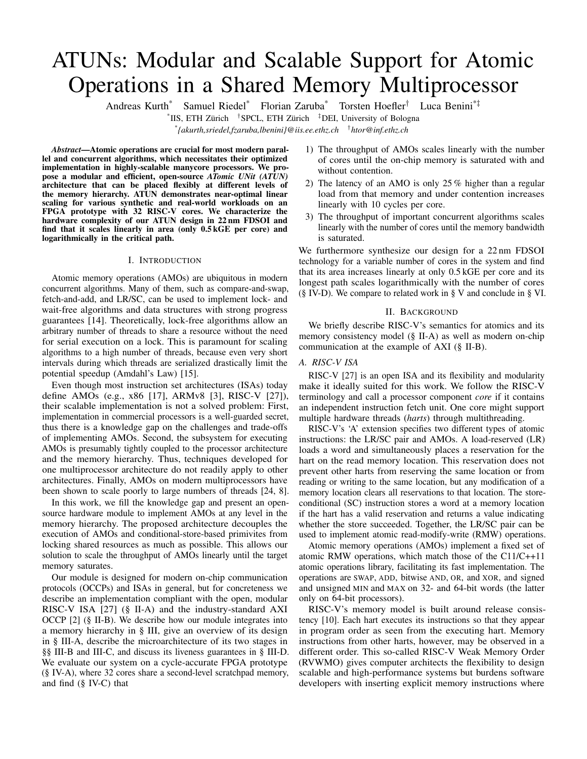simultaneously, the write is stalled for one clock cycle to order the effect of reads and writes on reservations. To maintain the single-copy atomicity of LR/SC, a write is also stalled if an address-overlapping exclusive write is in-flight downstream. In all other cases, a write request is forwarded in the same clock cycle. Exclusive write requests are forwarded if and only if the reservation table holds a reservation for the targeted memory range and the hart identified by the transaction ID. Each forwarded write request clears all reservations to overlapping address ranges. Our design supports any order of LR/SCs from the connected harts, and all harts can reserve any address in the attached memory at any time. When placed before a cache, the LR/SC stage relies on the existing coherence protocol to guarantee atomicity and snoops the coherence channel for invalidations, upon which it clears matching reservations. If there are caches before the ATUN, they, upon an AMO must invalidate the affected cache line and forward the AMO.

The reservation table is at the core of the LR/SC stage. Each hart is identified by a unique OCCP transaction ID, and since the reservations by different harts must be independent, the reservation table contains one entry per hart. While a cache-like structure with less entries than harts would be attractive to save area, doing so adds dependencies between reservations from different harts, which can lead to livelocks and deadlocks. The table is indexed by the ID and stores the start address and size of an exclusive access.

The reservation table has two interfaces: The first interface checks if a hart holds a reservation for an address and optionally clears all reservations that have a range that match the address. The second interface sets the entry for a hart to an address and size. In the worst case (overlapping reservations for all harts and a write to an address in the intersection), the entire table has to be read and written before a request can be granted. As latency is crucial for the LR/SC stage (discussed in § IV-C), the table is implemented as an array of flip-flops so that all entries can be compared and modified in parallel.

# *C. AMO Stage*

The AMO stage executes AMOs by leveraging the atomicity guarantee of the LR/SC stage. In a nutshell, each AMO is translated into the following transactions: First, a read is issued and the returned data is fed to the internal ALU together with the operand. After the ALU has computed the result, a write is issued to store it back to the memory. Once the write response asserts that the operation is complete, both a write response and a read response, containing the previous memory value, are sent to the issuer of the AMO.



Figure 3: Flow diagram of AMO with *fast path* (blue, left) and *slow path* (red, right).

*1) Downstream Transactions:* As the OCCP does not have to order read with respect to write transactions, a read issued by the AMO stage can overtake a write to the same address that passed the AMO stage before it issued the read. In this case, the write would violate the single-copy atomicity of an AMO. The LR/SC

|       | starvation-free | livelock-free    | deadlock-free    |
|-------|-----------------|------------------|------------------|
| AMO   | $\angle$ (D)    | $( \mathsf{B} )$ | $\angle$ (A)     |
| LR/SC | $\angle$ (E)    | $\sqrt{(C)}$     | $\mathcal{A}(A)$ |

Table I: Liveness properties guaranteed by our ATUN.

stage solves this problem for SCs, and instead of replicating the logic, the AMO stage uses the guaranteed atomicity of a successful SC to ensure the atomicity of an AMO. As illustrated in Fig. 3, as a first step on the *fast path*, an LR is issued to resolve an AMO. Upon receiving the data and calculating the result, an SC is used to write it back to the memory. If the SC was successful, the LR/SC stage guarantees the atomicity of the LR/SC pair and the AMO stage can send the responses for the AMO. This sequence is called the *fast path*, as it executes the AMO immediately with the assumption that it will succeed. However, an SC on the *fast path* might fail due to conflicting writes by non-AMOs downstream, but an AMO must never fail. Therefore, if the SC fails and does not update the memory, the AMO stage executes the *slow path*.

The *slow path* only occurs when a program updates a memory location both with regular writes and AMOs (which is not data race free). This special case is usually not worth optimizing for, and our implementation minimizes hardware spent on it: First, the AMO stage completely drains the downstream write channel to eliminate the possibility of a conflicting write transaction in flight. Second, the AMO stage stalls not only conflicting but all new write requests until the AMO has executed, because it does not keep track of the target addresses of writes in flight and there are no ordering guarantees on writes. Finally, the AMO stage uses a regular read followed by a regular write transaction to execute the AMO.



Figure 4: Microarchitecture of the AMO stage.

*2) Microarchitecture:* As shown in Fig. 4, the microarchitecture consists of controllers for the OCCP channels and an execution unit to compute AMOs. In the absence of AMOs, the AMO stage is transparent for incoming transactions. When handling an AMO, the AMO stage injects reads and writes between regular transactions with priority. This not only reduces the latency of single AMOs but also increases the throughput of AMOs, as this microarchitecture processes AMOs sequentially. This microarchitecture was designed for low latency and low area, but architectural extensions that feature multiple parallel execution units, pipeline the fetching and writeback of operands, and/or can fuse AMOs to the same address are possible.

#### *D. Liveness Guarantees*

Three liveness properties are essential to guarantee progress in multi-master communication: freedom from starvation, from livelocks, and from deadlocks. OCCPs stipulate rules to make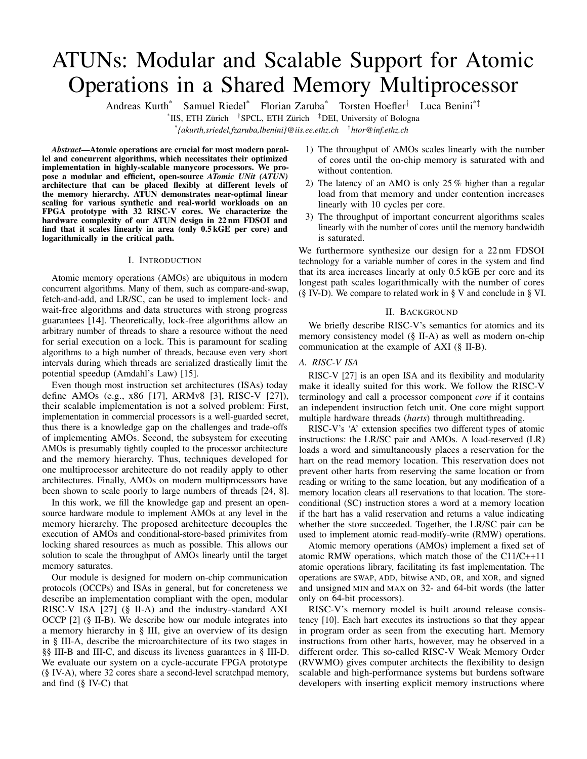any two transactions free from livelocks and deadlocks, and arbitrators are commonly required to be starvation free. Under these assumptions on downstream and upstream, our ATUN guarantees the liveness properties listed in Table I as follows: (A) Both AMOs and LR/SCs are free from deadlocks because each AMO, LR, and SC individually completes within a bounded number of cycles and, once completed, does not preclude any other instruction from progressing. (B) AMOs are entirely free from livelocks because they are executed in the order they enter the AMO stage, resulting in unconditional progress among all AMOs. (C) LR/SCs are free from livelocks because one among multiple contending LR/SC pairs always succeeds. (D) AMOs are starvation-free because they are unconditionally executed in the order they enter the AMO stage within a bounded number of cycles. (E) The execution of LR/SC pairs is free from starvation, but their success is only guaranteed to be starvation-free for disjoint addresses because any such pairs do not change the success of each another. While it is possible to write programs based on LR/SC that prevent one hart from ever succeeding an SC (or that deadlock or livelock the program), such liveness violations do not extend to other programs or even system components and thus do not impair the liveness guarantees of our ATUN.

## IV. EVALUATION

We built a multicore architecture (§ IV-A) to evaluate multiple variants of four benchmarks representing a wide range of loads on our ATUN, and we characterize throughput and contention (§ IV-C) in cycle-accurate execution on an FPGA. Finally, we characterize the hardware complexity in a 22 nm technology (§ IV-D).

## *A. Evaluated Architecture*



Figure 5: Architecture of the evaluated system, where one instance of our ATUN is in front of the L2 SPM shared by four clusters each composed of eight RISC-V cores.

Fig. 5 shows an overview of the multicore architecture that we assembled to evaluate our ATUN. 32 cores organized in 4 clusters share a L2 scratchpad memory (SPM) through a fullyconnected-crossbar interconnect. In front of the L2, one ATUN handles atomic and exclusive memory accesses. We focused our evaluation on this case to show the benefits and limits of our proposed approach where many harts share one ATUN. All cores within a cluster share a multi-banked L1 SPM, which is used by the benchmarks to store core-private data. Each core implements one RISC-V in-order hart.

We implemented the evaluation architecture on a fieldprogrammable gate array (FPGA) to be able to measure throughput and contention in benchmarks cycle-accurately. For measurements inside the memory hierarchy, we inserted hardware performance monitors that do not interfere with execution into our system. We measured the number of cycles on the cycle-accurate FPGA implementation and scaled throughput and latency numbers

(§ IV-C) to the frequency achieved by the application-specific integrated circuit (ASIC) implementation (§ IV-D).

#### *B. Terminology: Atomic Locality*

We call a set A of atomic variables *local* to a set of harts H during a time interval  $\bar{T}$  if there exists no hart outside  $H$  that accesses any variable in  $A$  during  $T$ . Let  $H$  consist of all harts executing a workload, then during some interval T, the *atomic locality* of that workload is  $|H| = |A|$ . A high atomic locality is neither "good" nor "bad": For highest performance, the memory to which the ATUN is connected should be able to simultaneously hold all variables in A, implying moderate values of atomic locality are "good". If the atomic locality is too high, however, it becomes "bad" as the probability of conflicts in the shared ATUN increases.

## *C. Throughput and Contention*

We selected four different benchmarks to evaluate our ATUN under a wide range of loads. In all benchmarks, contention is maximized by programming all harts to execute the specified atomic operations without interruption. The execution time of the slowest hart is used as the total system execution time.

*1) Synthetic Maximum Contention:* For maximum contention, a variable number of harts execute a single (write or AMO) or two (LR and SC) memory operations to the L2 memory without interruption in a loop. All writes and AMOs target the same memory location. All LR/SCs go to different memory locations so that every SC is successful and leads to a write. We use this to find the upper bound on the throughput and the lower bound on the latency as a function of harts under maximum contention.



Figure 6: Throughput of writes, LR/SC pairs, and AMOs as a function of harts under maximum contention.

The throughput of writes, LR/SC pairs, and AMOs under maximum contention on the evaluated architecture is shown in Fig. 6. Even though the memory is clocked at 1 GHz, the memory controller can only accept a read or write every second clock cycle, leading to a peak throughput of 500 MOps/s. The write curve forms the roofline for the evaluated architecture. Both writes and LR/SC pairs scale linearly up to 12 harts, and LR/SC pairs achieve exactly half the throughput of writes because one LR/SC pair is composed of two memory operations. The current implementation of our ATUN requires 10 cycles to resolve one AMO if the memory controller can accept a read or write only every second cycle: 2 cycles forth and 2 cycles back for the read, one for the computation of the AMO, four cycles for the write, and one to accept the next AMO. Therefore, it can process one AMO every tenth cycle, which is five times lower than writes only. Nonetheless, the evaluated architecture can sustain a throughput that is half the roofline for LR/SCs, which is optimal when all SCs are successful (as in this benchmark), and a fifth of the roofline for AMOs even under maximum contention, which is a synthetic worst-case scenario.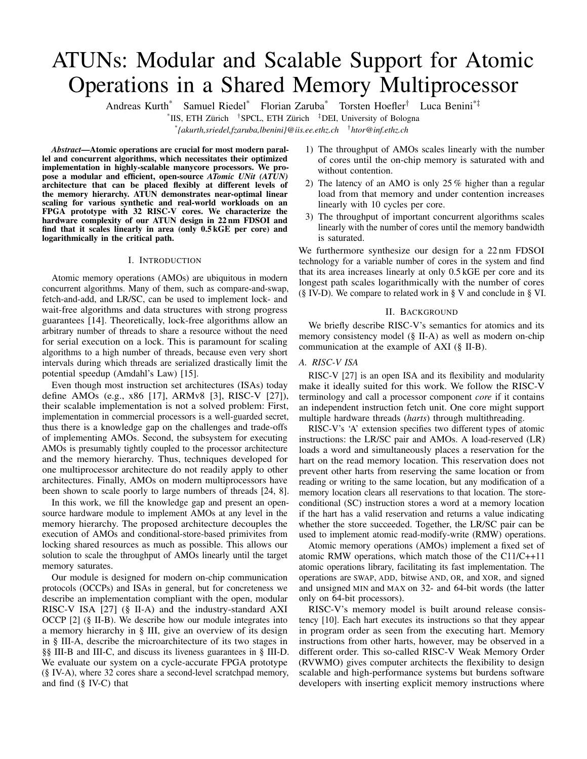*2) Lock-Free Memory Allocator:* We implemented the lockfree buddy allocator proposed in [20]. Memory is allocated in chunks of discrete sizes and managed by a binary tree, whose nodes are atomic variables. We implemented the algorithm once with AMOs and once with some AMOs replaced by LR/SCbased atomic read-modify-writes to maximize throughput. This algorithm requires modifying several different shared variables atomically, so it represents algorithms with low atomic locality.



Figure 7: Throughput (left scale, filled markers) and utilization of the memory interface (right scale, empty markers) as a function of harts for two variants of the lock-free memory allocator, which has low atomic locality.

The throughput of the lock-free allocator is shown in Fig. 7. The AMOs-only variant scales linearly up to ca. 20 cores. Beyond, the ATUN saturates as it can handle one AMO every 10 cycles. The second variant combines AMOs and LR/SC. This leads to a balanced utilization of the ATUN *and* the memory, saturating both for the maximum number of harts.

*3) Lock- or Wait-Free Concurrent Queue:* As a representative of algorithms with high atomic locality, we implemented the concurrent queue algorithm proposed in [28]. Only two atomic variables, the head index and tail index, arbitrate the access to the shared queue. We implemented two variants of the algorithm: in one we use AMOs to atomically modify the head and tail index, in the other we use LR/SC pairs for that purpose. As the variant with AMOs is wait-free whereas the variant with LR/SCs is only lock-free, we use this to compare the throughput of the two operation types and the cost of the higher progress guarantee.



Figure 8: Throughput (left scale, filled markers) and utilization of memory interface (right scale, empty markers) as a function of harts for two variants of the concurrent queue, which has high atomic locality.

The throughput of both variants is shown in Fig. 8. Remarkably, the throughput of the variant with the stronger progress guarantee (AMO) is consistently higher. The reason is that this concurrent queue has a very high atomic locality with only two atomic variables. In such cases, the success rate of LR/SC pairs quickly degrades and limits the throughput of the LR/SC variant whereas AMOs always succeed. The algorithm reads from L2 memory not only with AMOs, and the combined throughput of reads limits the AMO variant.

*4) Parallel Histogram:* The histogram benchmark is representative for algorithms with data-dependent atomic access patterns. The shared target histogram is allocated with  $B$  bins in the  $L2$ 

memory. Each hart reads values from an array in the L1 memory of its cluster and atomically increments the bin to which the value belongs. We implemented two variants, one that uses LR/SC and one that uses an AMO ADD for atomically modifying the shared variable, to be able to compare the effectiveness of LR/SC to AMOs in this scenario. In order to focus on L2 contention, we deliberately do *not* accumulate in the shared L1 and then update the L2 in batches.



Figure 9: Throughput of the histogram benchmark as a function of harts for different atomic localities.

The throughput of AMOs and LR/SCs in the histogram benchmark is shown in Fig. 9. As the current implementation of the AMO stage processes all AMOs in series, the locality does not influence the throughput. For LR/SCs, however, it is of major importance, because their success depends on the number of shared variables accessed. This benchmark shows the locality of AMOs required for LR/SC to outperform AMOs under maximum contention. With the likelihood of collisions decreasing when more bins are used, the LR/SC version reaches the maximum possible throughput on the evaluated system at 250 MOps/s.

*5) Summary:* In most cases, the throughput of AMOs through the ATUN scales linearly until the memory at which the ATUN executes AMOs saturates. When the throughput of AMOs saturates before the memory bandwidth is reached, this is due to the AMO stage processing one AMO every 10 cycles, and further microarchitectural improvements could alleviate this bottleneck. Whether to use AMOs or LR/SCs to implement an atomic operation depends mainly on the atomic locality.

## *D. 22nm FDSOI Hardware Complexity*



Figure 10: Hardware complexity of our ATUN as a function of the maximum number of concurrent harts. The dashed line is  $y = 0.7x$  to show the linear growth of the reservation table at 0.5 kGE per hart.

We synthesized our ATUN for a target frequency of 1 GHz on GlobalFoundries' 22 nm FDSOI. Fig. 10 shows the hardware complexity in number of gates of one instance of our ATUN as a function of the number of harts for which it can track reservations. Overall, the complexity increases linearly with the number harts—both axes are log scale—at only 0.5 kGE  $(100 \mu m^2)$  in 22 nm) per hart. The complexity is dominated by the reservation table, which causes the linear asymptote. The OCCP interface grows logarithmically with the number of harts